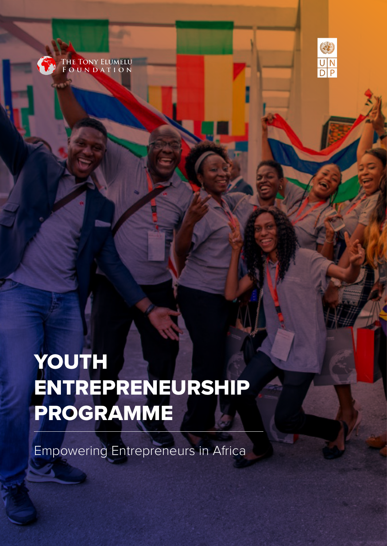



# YOUTH ENTREPRENEURSHIP PROGRAMME

Empowering Entrepreneurs in Africa

Youth Entrepreneurship Programme: Empowering Entrepreneurs in Africa 1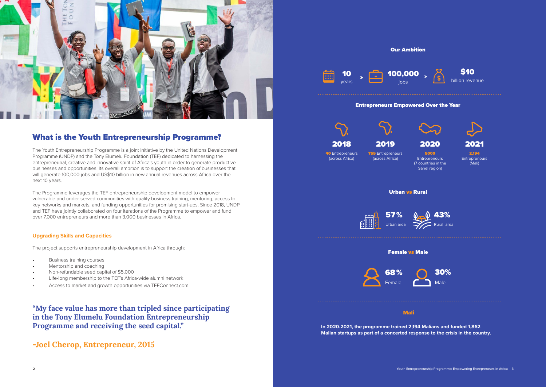

# What is the Youth Entrepreneurship Programme?

The Youth Entrepreneurship Programme is a joint initiative by the United Nations Development Programme (UNDP) and the Tony Elumelu Foundation (TEF) dedicated to harnessing the entrepreneurial, creative and innovative spirit of Africa's youth in order to generate productive businesses and opportunities. Its overall ambition is to support the creation of businesses that will generate 100,000 jobs and US\$10 billion in new annual revenues across Africa over the next 10 years.

The Programme leverages the TEF entrepreneurship development model to empower vulnerable and under-served communities with quality business training, mentoring, access to key networks and markets, and funding opportunities for promising start-ups. Since 2018, UNDP and TEF have jointly collaborated on four iterations of the Programme to empower and fund over 7,000 entrepreneurs and more than 3,000 businesses in Africa.

**40 Entrepreneurs** (across Africa)

**755** Entrepreneurs (across Africa)

# **Upgrading Skills and Capacities**

**Entrepreneurs** (Mali)

The project supports entrepreneurship development in Africa through:

- Business training courses
- Mentorship and coaching
- Non-refundable seed capital of \$5,000
- Life-long membership to the TEF's Africa-wide alumni network
- Access to market and growth opportunities via TEFConnect.com

**"My face value has more than tripled since participating in the Tony Elumelu Foundation Entrepreneurship Programme and receiving the seed capital."**

**-Joel Cherop, Entrepreneur, 2015**

Our Ambition

# Entrepreneurs Empowered Over the Year

## Urban vs Rural



# Mali

### Female vs Male



**In 2020-2021, the programme trained 2,194 Malians and funded 1,862 Malian startups as part of a concerted response to the crisis in the country.**











5000 Entrepreneurs (7 countries in the Sahel region)